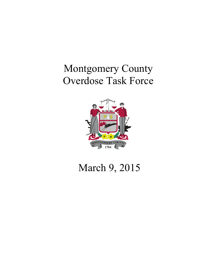# Montgomery County Overdose Task Force



# March 9, 2015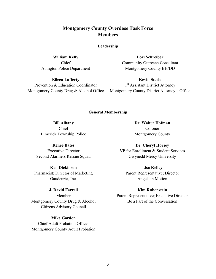## **Montgomery County Overdose Task Force Members**

#### **Leadership**

**William Kelly** Chief Abington Police Department

**Eileen Lafferty** Prevention & Education Coordinator Montgomery County Drug & Alcohol Office

**Lori Schreiber** Community Outreach Consultant Montgomery County BH/DD

**Kevin Steele** 1<sup>st</sup> Assistant District Attorney Montgomery County District Attorney's Office

#### **General Membership**

**Bill Albany** Chief Limerick Township Police

**Renee Bates** Executive Director Second Alarmers Rescue Squad

**Ken Dickinson** Pharmacist; Director of Marketing Gaudenzia, Inc.

**J. David Farrell** Member Montgomery County Drug & Alcohol Citizens Advisory Council

**Mike Gordon** Chief Adult Probation Officer Montgomery County Adult Probation **Dr. Walter Hofman** Coroner Montgomery County

**Dr. Cheryl Horsey** VP for Enrollment & Student Services Gwynedd Mercy University

**Lisa Kelley** Parent Representative; Director Angels in Motion

#### **Kim Rubenstein**

Parent Representative; Executive Director Be a Part of the Conversation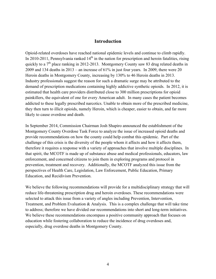## **Introduction**

Opioid-related overdoses have reached national epidemic levels and continue to climb rapidly. In 2010-2011, Pennsylvania ranked  $14<sup>th</sup>$  in the nation for prescription and heroin fatalities, rising quickly to a  $7<sup>th</sup>$  place ranking in 2012-2013. Montgomery County saw 83 drug related deaths in 2009 and 134 deaths in 2013 – an increase of 61% in just four years. In 2009, there were 20 Heroin deaths in Montgomery County, increasing by 130% to 46 Heroin deaths in 2013. Industry professionals suggest the reason for such a dramatic surge may be attributed to the demand of prescription medications containing highly addictive synthetic opioids. In 2012, it is estimated that health care providers distributed close to 300 million prescriptions for opioid painkillers, the equivalent of one for every American adult. In many cases the patient becomes addicted to these legally prescribed narcotics. Unable to obtain more of the prescribed medicine, they then turn to illicit opioids, namely Heroin, which is cheaper, easier to obtain, and far more likely to cause overdose and death.

In September 2014, Commission Chairman Josh Shapiro announced the establishment of the Montgomery County Overdose Task Force to analyze the issue of increased opioid deaths and provide recommendations on how the county could help combat this epidemic. Part of the challenge of this crisis is the diversity of the people whom it affects and how it affects them, therefore it requires a response with a variety of approaches that involve multiple disciplines. In that spirit, the MCOTF is made up of substance abuse and medical professionals, educators, law enforcement, and concerned citizens to join them in exploring programs and protocol in prevention, treatment and recovery. Additionally, the MCOTF analyzed this issue from the perspectives of Health Care, Legislation, Law Enforcement, Public Education, Primary Education, and Recidivism Prevention.

We believe the following recommendations will provide for a multidisciplinary strategy that will reduce life-threatening prescription drug and heroin overdoses. These recommendations were selected to attack this issue from a variety of angles including Prevention, Intervention, Treatment, and Problem Evaluation & Analysis. This is a complex challenge that will take time to address; therefore we have divided our recommendations into short and long-term initiatives. We believe these recommendations encompass a positive community approach that focuses on education while fostering collaboration to reduce the incidence of drug overdoses and, especially, drug overdose deaths in Montgomery County.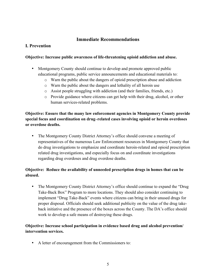## **Immediate Recommendations**

## **I. Prevention**

### **Objective: Increase public awareness of life-threatening opioid addiction and abuse.**

- Montgomery County should continue to develop and promote approved public educational programs, public service announcements and educational materials to:
	- o Warn the public about the dangers of opioid prescription abuse and addiction
	- o Warn the public about the dangers and lethality of all heroin use
	- o Assist people struggling with addiction (and their families, friends, etc.)
	- o Provide guidance where citizens can get help with their drug, alcohol, or other human services-related problems.

## **Objective: Ensure that the many law enforcement agencies in Montgomery County provide special focus and coordination on drug–related cases involving opioid or heroin overdoses or overdose deaths.**

• The Montgomery County District Attorney's office should convene a meeting of representatives of the numerous Law Enforcement resources in Montgomery County that do drug investigations to emphasize and coordinate heroin-related and opioid prescription related drug investigations, and especially focus on and coordinate investigations regarding drug overdoses and drug overdose deaths.

## **Objective: Reduce the availability of unneeded prescription drugs in homes that can be abused.**

• The Montgomery County District Attorney's office should continue to expand the "Drug" Take-Back Box" Program to more locations. They should also consider continuing to implement "Drug Take-Back" events where citizens can bring in their unused drugs for proper disposal. Officials should seek additional publicity on the value of the drug takeback initiative and the presence of the boxes across the County. The DA's office should work to develop a safe means of destroying these drugs.

## **Objective: Increase school participation in evidence based drug and alcohol prevention/ intervention services.**

• A letter of encouragement from the Commissioners to: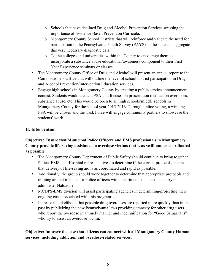- o Schools that have declined Drug and Alcohol Prevention Services stressing the importance of Evidence Based Prevention Curricula.
- o Montgomery County School Districts that will reinforce and validate the need for participation in the Pennsylvania Youth Survey (PAYS) so the state can aggregate this very necessary diagnostic data.
- o To the colleges and universities within the County to encourage them to incorporate a substance abuse educational/awareness component to their First Year Experience seminars or classes.
- The Montgomery County Office of Drug and Alcohol will present an annual report to the Commissioners Office that will outline the level of school district participation in Drug and Alcohol Prevention/Intervention Education services.
- Engage high schools in Montgomery County by creating a public service announcement contest. Students would create a PSA that focuses on prescription medication overdoses, substance abuse, etc. This would be open to all high schools/middle schools in Montgomery County for the school year 2015-2016. Through online voting, a winning PSA will be chosen and the Task Force will engage community partners to showcase the students' work.

# **II. Intervention**

**Objective: Ensure that Municipal Police Officers and EMS professionals in Montgomery County provide life-saving assistance to overdose victims that is as swift and as coordinated as possible.**

- The Montgomery County Department of Public Safety should continue to bring together Police, EMS, and Hospital representatives to determine if the current protocols ensure that delivery of life-saving aid is as coordinated and rapid as possible.
- Additionally, the group should work together to determine that appropriate protocols and training are put in place for Police officers with departments that chose to carry and administer Naloxone.
- MCDPS-EMS division will assist participating agencies in determining/projecting their ongoing costs associated with this program.
- Increase the likelihood that possible drug overdoses are reported more quickly than in the past by publicizing the new Pennsylvania laws providing amnesty for other drug users who report the overdose in a timely manner and indemnification for "Good Samaritans" who try to assist an overdose victim.

**Objective: Improve the ease that citizens can connect with all Montgomery County Human services, including addiction and overdose-related services.**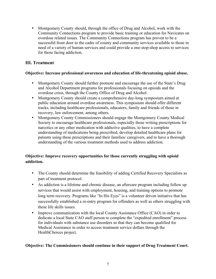• Montgomery County should, through the office of Drug and Alcohol, work with the Community Connections program to provide basic training or education for Navicates on overdose related issues. The Community Connections program has proven to be a successful front door to the cadre of county and community services available to those in need of a variety of human services and could provide a one-stop-shop access to services for those facing addiction.

## **III. Treatment**

## **Objective: Increase professional awareness and education of life-threatening opioid abuse.**

- Montgomery County should further promote and encourage the use of the State's Drug and Alcohol Department programs for professionals focusing on opioids and the overdose crisis, through the County Office of Drug and Alcohol.
- Montgomery County should create a comprehensive day-long symposium aimed at public education around overdose awareness. This symposium should offer different tracks, including healthcare professionals, educators, family and friends of those in recovery, law enforcement, among others.
- Montgomery County Commissioners should engage the Montgomery County Medical Society to encourage healthcare professionals, especially those writing prescriptions for narcotics or any other medication with addictive qualities, to have a complete understanding of medications being prescribed, develop detailed healthcare plans for patients using these prescriptions and their families/ caregivers, and to have a thorough understanding of the various treatment methods used to address addiction.

## **Objective: Improve recovery opportunities for those currently struggling with opioid addiction.**

- The County should determine the feasibility of adding Certified Recovery Specialists as part of treatment protocol.
- As addiction is a lifetime and chronic disease, an aftercare program including follow up services that would assist with employment, housing, and training options to promote long term recovery. Programs like "In His Eyes" is a volunteer driven initiative that has successfully established a re-entry program for offenders as well as others struggling with these life skills issues.
- Improve communication with the local County Assistance Office (CAO) in order to dedicate a local State CAO staff person to complete the "expedited enrollment" process for individuals with substance use disorders so that they can become qualified for Medical Assistance in order to access treatment service dollars through the HealthChoices project.

## **Objective: The Commissioners should continue in their support of Drug Treatment Court.**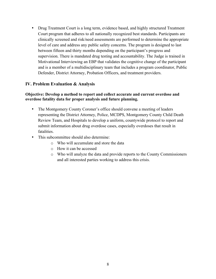• Drug Treatment Court is a long term, evidence based, and highly structured Treatment Court program that adheres to all nationally recognized best standards. Participants are clinically screened and risk/need assessments are performed to determine the appropriate level of care and address any public safety concerns. The program is designed to last between fifteen and thirty months depending on the participant's progress and supervision. There is mandated drug testing and accountability. The Judge is trained in Motivational Interviewing an EBP that validates the cognitive change of the participant and is a member of a multidisciplinary team that includes a program coordinator, Public Defender, District Attorney, Probation Officers, and treatment providers.

## **IV. Problem Evaluation & Analysis**

### **Objective: Develop a method to report and collect accurate and current overdose and overdose fatality data for proper analysis and future planning.**

- The Montgomery County Coroner's office should convene a meeting of leaders representing the District Attorney, Police, MCDPS, Montgomery County Child Death Review Team, and Hospitals to develop a uniform, countywide protocol to report and submit information about drug overdose cases, especially overdoses that result in fatalities.
- This subcommittee should also determine:
	- o Who will accumulate and store the data
	- o How it can be accessed
	- o Who will analyze the data and provide reports to the County Commissioners and all interested parties working to address this crisis.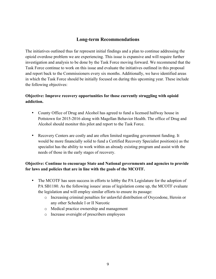## **Long-term Recommendations**

The initiatives outlined thus far represent initial findings and a plan to continue addressing the opioid overdose problem we are experiencing. This issue is expansive and will require further investigation and analysis to be done by the Task Force moving forward. We recommend that the Task Force continue to work on this issue and evaluate the initiatives outlined in this proposal and report back to the Commissioners every six months. Additionally, we have identified areas in which the Task Force should be initially focused on during this upcoming year. These include the following objectives:

## **Objective: Improve recovery opportunities for those currently struggling with opioid addiction.**

- County Office of Drug and Alcohol has agreed to fund a licensed halfway house in Pottstown for 2015-2016 along with Magellan Behavior Health. The office of Drug and Alcohol should monitor this pilot and report to the Task Force.
- Recovery Centers are costly and are often limited regarding government funding. It would be more financially solid to fund a Certified Recovery Specialist position(s) as the specialist has the ability to work within an already existing program and assist with the needs of those in the early stages of recovery.

## **Objective: Continue to encourage State and National governments and agencies to provide for laws and policies that are in line with the goals of the MCOTF.**

- The MCOTF has seen success in efforts to lobby the PA Legislature for the adoption of PA SB1180. As the following issues/ areas of legislation come up, the MCOTF evaluate the legislation and will employ similar efforts to ensure its passage:
	- o Increasing criminal penalties for unlawful distribution of Oxycodone, Heroin or any other Schedule I or II Narcotic
	- o Medical practice ownership and management
	- o Increase oversight of prescribers employees